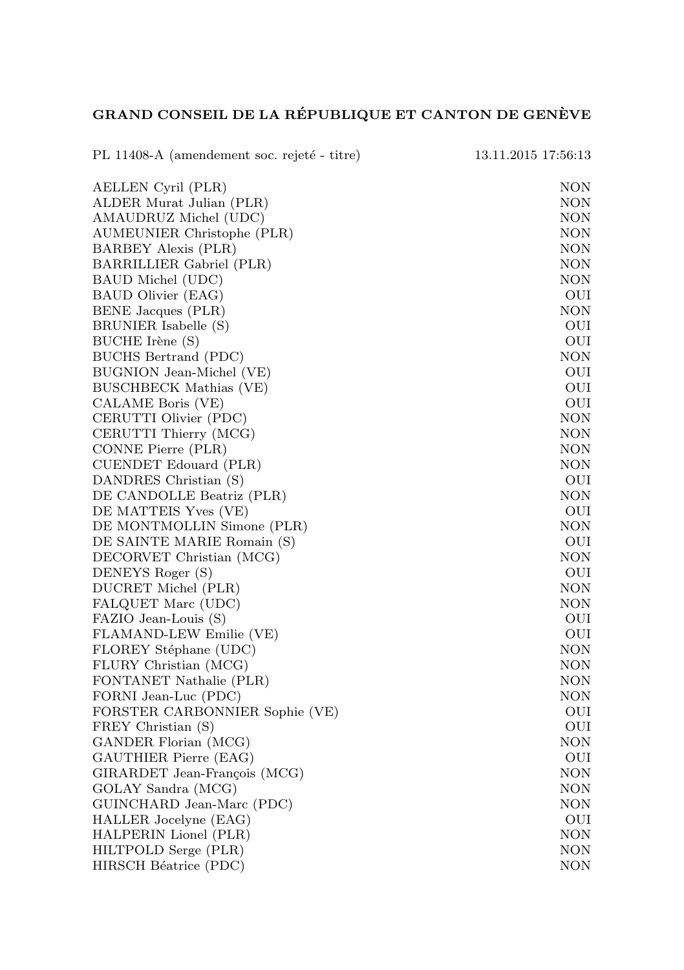## GRAND CONSEIL DE LA RÉPUBLIQUE ET CANTON DE GENÈVE

| PL 11408-A (amendement soc. rejeté - titre)            | 13.11.2015 17:56:13 |
|--------------------------------------------------------|---------------------|
| AELLEN Cyril (PLR)                                     | NON                 |
| ALDER Murat Julian (PLR)                               | NON                 |
| AMAUDRUZ Michel (UDC)                                  | <b>NON</b>          |
| AUMEUNIER Christophe (PLR)                             | <b>NON</b>          |
| BARBEY Alexis (PLR)                                    | <b>NON</b>          |
| BARRILLIER Gabriel (PLR)                               | <b>NON</b>          |
| BAUD Michel (UDC)                                      | <b>NON</b>          |
| BAUD Olivier (EAG)                                     | OUI                 |
| BENE Jacques (PLR)                                     | NON                 |
| BRUNIER Isabelle (S)                                   | OUI                 |
| BUCHE Irène (S)                                        | OUI                 |
| BUCHS Bertrand (PDC)                                   | NON                 |
| BUGNION Jean-Michel (VE)                               | OUI                 |
| <b>BUSCHBECK Mathias (VE)</b>                          | OUI                 |
| CALAME Boris (VE)                                      | OUI                 |
| CERUTTI Olivier (PDC)                                  | NON                 |
| CERUTTI Thierry (MCG)                                  | NON                 |
| CONNE Pierre (PLR)                                     | <b>NON</b>          |
| CUENDET Edouard (PLR)                                  | NON                 |
| DANDRES Christian (S)                                  | OUI                 |
| DE CANDOLLE Beatriz (PLR)                              | NON                 |
| DE MATTEIS Yves (VE)                                   | OUI                 |
| DE MONTMOLLIN Simone (PLR)                             | <b>NON</b>          |
| DE SAINTE MARIE Romain (S)                             | OUI                 |
| DECORVET Christian (MCG)                               | NON                 |
| DENEYS Roger (S)                                       | OUI                 |
| DUCRET Michel (PLR)                                    | NON                 |
| FALQUET Marc (UDC)                                     | NON                 |
| FAZIO Jean-Louis (S)                                   | OUI                 |
| FLAMAND-LEW Emilie (VE)                                | OUI                 |
| FLOREY Stéphane (UDC)                                  | NON                 |
| FLURY Christian (MCG)                                  | <b>NON</b><br>NON   |
| FONTANET Nathalie (PLR)                                | <b>NON</b>          |
| FORNI Jean-Luc (PDC)<br>FORSTER CARBONNIER Sophie (VE) | OUI                 |
| FREY Christian (S)                                     | OUI                 |
| GANDER Florian (MCG)                                   | NON                 |
| GAUTHIER Pierre (EAG)                                  | OUI                 |
| GIRARDET Jean-François (MCG)                           | <b>NON</b>          |
| GOLAY Sandra (MCG)                                     | NON                 |
| GUINCHARD Jean-Marc (PDC)                              | NON                 |
| HALLER Jocelyne (EAG)                                  | OUI                 |
| HALPERIN Lionel (PLR)                                  | <b>NON</b>          |
| HILTPOLD Serge (PLR)                                   | NON                 |
| HIRSCH Béatrice (PDC)                                  | NON                 |
|                                                        |                     |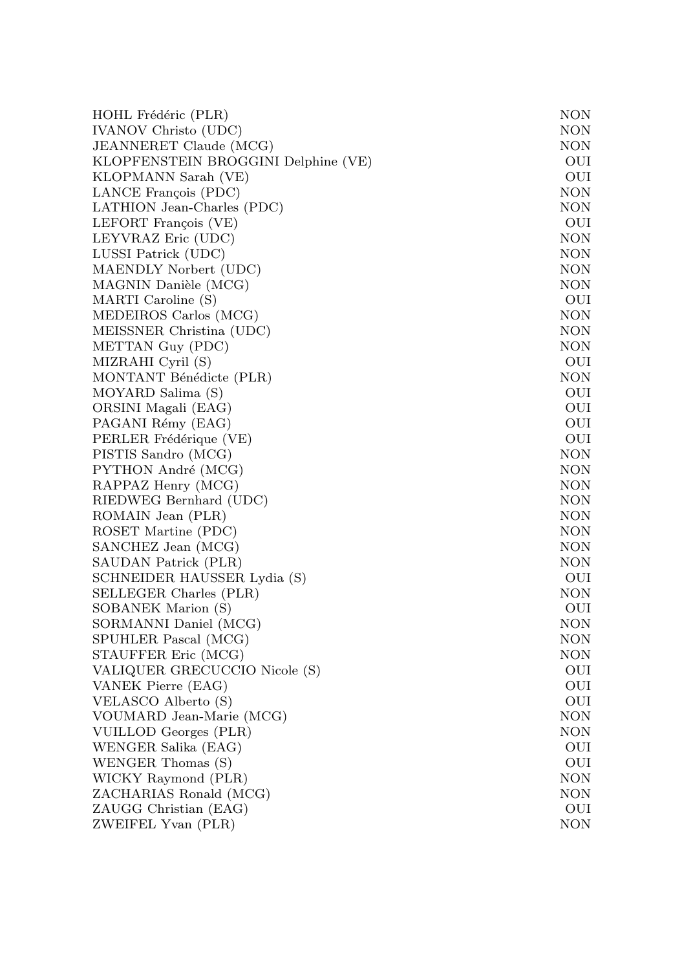| HOHL Frédéric (PLR)                 | NON        |
|-------------------------------------|------------|
| <b>IVANOV Christo (UDC)</b>         | NON        |
| JEANNERET Claude (MCG)              | NON        |
| KLOPFENSTEIN BROGGINI Delphine (VE) | OUI        |
| KLOPMANN Sarah (VE)                 | OUI        |
| LANCE François (PDC)                | <b>NON</b> |
| LATHION Jean-Charles (PDC)          | NON        |
| LEFORT François (VE)                | OUI        |
| LEYVRAZ Eric (UDC)                  | NON        |
| LUSSI Patrick (UDC)                 | NON        |
| MAENDLY Norbert (UDC)               | NON        |
| MAGNIN Danièle (MCG)                | NON        |
| MARTI Caroline (S)                  | OUI        |
| MEDEIROS Carlos (MCG)               | NON        |
| MEISSNER Christina (UDC)            | NON        |
| METTAN Guy (PDC)                    | NON        |
| MIZRAHI Cyril (S)                   | OUI        |
| MONTANT Bénédicte (PLR)             | <b>NON</b> |
| MOYARD Salima (S)                   | OUI        |
| ORSINI Magali (EAG)                 | OUI        |
| PAGANI Rémy (EAG)                   | OUI        |
| PERLER Frédérique (VE)              | OUI        |
| PISTIS Sandro (MCG)                 | NON        |
| PYTHON André (MCG)                  | NON        |
| RAPPAZ Henry (MCG)                  | NON        |
| RIEDWEG Bernhard (UDC)              | NON        |
| ROMAIN Jean (PLR)                   | NON        |
| ROSET Martine (PDC)                 | NON        |
| SANCHEZ Jean (MCG)                  | NON        |
| SAUDAN Patrick (PLR)                | NON        |
| SCHNEIDER HAUSSER Lydia (S)         | OUI        |
| SELLEGER Charles (PLR)              | NON        |
| SOBANEK Marion (S)                  | OUI        |
| SORMANNI Daniel (MCG)               | NON        |
| SPUHLER Pascal (MCG)                | NON        |
| STAUFFER Eric (MCG)                 | NON        |
| VALIQUER GRECUCCIO Nicole (S)       | OUI        |
| VANEK Pierre (EAG)                  | OUI        |
| VELASCO Alberto (S)                 | OUI        |
| VOUMARD Jean-Marie (MCG)            | NON        |
| VUILLOD Georges (PLR)               | NON        |
| WENGER Salika (EAG)                 | OUI        |
| WENGER Thomas (S)                   | OUI        |
| WICKY Raymond (PLR)                 | <b>NON</b> |
| ZACHARIAS Ronald (MCG)              | NON        |
| ZAUGG Christian (EAG)               | OUI        |
| ZWEIFEL Yvan (PLR)                  | NON        |